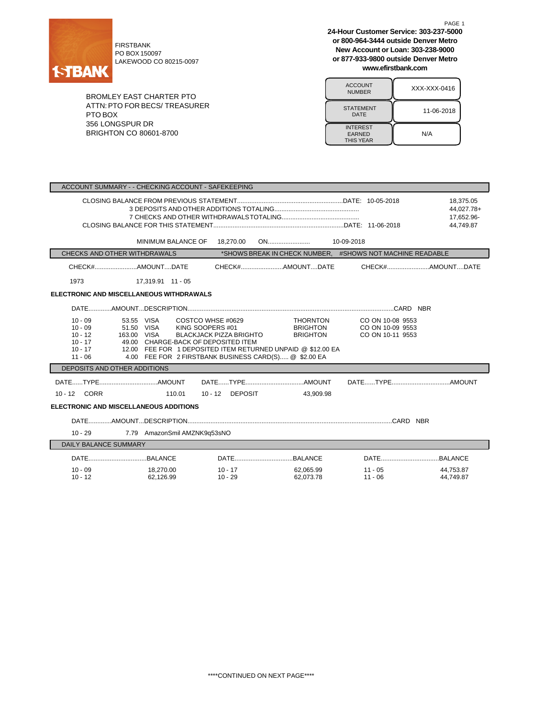

FIRSTBANK PO BOX 150097 LAKEWOOD CO 80215-0097

**New Account or Loan: 303-238-9000 or 877-933-9800 outside Denver Metro**

| www.efirstbank.com                                   |              |  |
|------------------------------------------------------|--------------|--|
| <b>ACCOUNT</b><br><b>NUMBER</b>                      | XXX-XXX-0416 |  |
| <b>STATEMENT</b><br>DATE                             | 11-06-2018   |  |
| <b>INTEREST</b><br><b>EARNED</b><br><b>THIS YEAR</b> | N/A          |  |

**or 800-964-3444 outside Denver Metro**

BROMLEY EAST CHARTER PTO ATTN:PTO FOR BECS/ TREASURER PTO BOX 356 LONGSPUR DR BRIGHTON CO 80601-8700

| ACCOUNT SUMMARY - - CHECKING ACCOUNT - SAFEKEEPING                         |                                                                                                                                                                                                                                                 |                         |                                                       |                                                           |                        |
|----------------------------------------------------------------------------|-------------------------------------------------------------------------------------------------------------------------------------------------------------------------------------------------------------------------------------------------|-------------------------|-------------------------------------------------------|-----------------------------------------------------------|------------------------|
| 18,375.05<br>17,652.96-<br>44.749.87                                       |                                                                                                                                                                                                                                                 |                         |                                                       |                                                           | 44.027.78+             |
|                                                                            | MINIMUM BALANCE OF                                                                                                                                                                                                                              | 18,270.00               |                                                       |                                                           |                        |
| CHECKS AND OTHER WITHDRAWALS                                               |                                                                                                                                                                                                                                                 |                         |                                                       | *SHOWS BREAK IN CHECK NUMBER, #SHOWS NOT MACHINE READABLE |                        |
|                                                                            |                                                                                                                                                                                                                                                 |                         |                                                       |                                                           |                        |
| 1973                                                                       | 17,319.91 11 - 05                                                                                                                                                                                                                               |                         |                                                       |                                                           |                        |
| <b>ELECTRONIC AND MISCELLANEOUS WITHDRAWALS</b>                            |                                                                                                                                                                                                                                                 |                         |                                                       |                                                           |                        |
|                                                                            |                                                                                                                                                                                                                                                 |                         |                                                       |                                                           |                        |
| $10 - 09$<br>$10 - 09$<br>$10 - 12$<br>$10 - 17$<br>$10 - 17$<br>$11 - 06$ | COSTCO WHSE #0629<br>53.55 VISA<br>51.50 VISA<br>KING SOOPERS #01<br>163.00 VISA<br>49.00 CHARGE-BACK OF DEPOSITED ITEM<br>12.00 FEE FOR 1 DEPOSITED ITEM RETURNED UNPAID @ \$12.00 EA<br>4.00 FEE FOR 2 FIRSTBANK BUSINESS CARD(S) @ \$2.00 EA | BLACKJACK PIZZA BRIGHTO | <b>THORNTON</b><br><b>BRIGHTON</b><br><b>BRIGHTON</b> | CO ON 10-08 9553<br>CO ON 10-09 9553<br>CO ON 10-11 9553  |                        |
| DEPOSITS AND OTHER ADDITIONS                                               |                                                                                                                                                                                                                                                 |                         |                                                       |                                                           |                        |
| 10 - 12 CORR                                                               | 110.01                                                                                                                                                                                                                                          | 10 - 12 DEPOSIT         | 43.909.98                                             |                                                           |                        |
| ELECTRONIC AND MISCELLANEOUS ADDITIONS                                     |                                                                                                                                                                                                                                                 |                         |                                                       |                                                           |                        |
|                                                                            |                                                                                                                                                                                                                                                 |                         |                                                       |                                                           |                        |
| $10 - 29$                                                                  | 7.79 AmazonSmil AMZNK9q53sNO                                                                                                                                                                                                                    |                         |                                                       |                                                           |                        |
| <b>DAILY BALANCE SUMMARY</b>                                               |                                                                                                                                                                                                                                                 |                         |                                                       |                                                           |                        |
|                                                                            |                                                                                                                                                                                                                                                 |                         |                                                       |                                                           |                        |
| $10 - 09$<br>$10 - 12$                                                     | 18.270.00<br>62.126.99                                                                                                                                                                                                                          | 10 - 17<br>$10 - 29$    | 62.065.99<br>62.073.78                                | $11 - 05$<br>$11 - 06$                                    | 44.753.87<br>44.749.87 |

\*\*\*\*CONTINUED ON NEXT PAGE\*\*\*\*

PAGE 1 **24-Hour Customer Service: 303-237-5000**